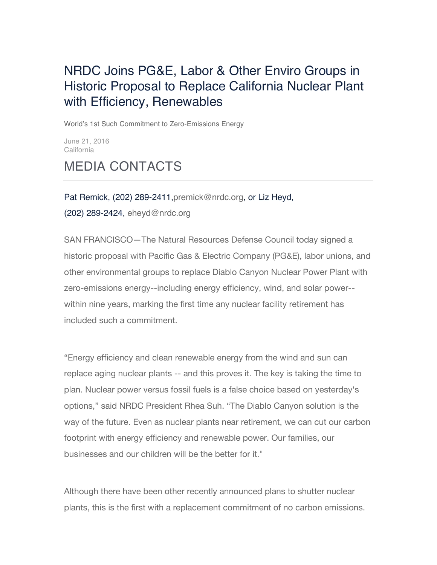## NRDC Joins PG&E, Labor & Other Enviro Groups in Historic Proposal to Replace California Nuclear Plant with Efficiency, Renewables

World's 1st Such Commitment to Zero-Emissions Energy

June 21, 2016 **California** 

## MEDIA CONTACTS

Pat Remick, (202) 289-2411, premick@nrdc.org, or Liz Heyd, (202) 289-2424, eheyd@nrdc.org

SAN FRANCISCO—The Natural Resources Defense Council today signed a historic proposal with Pacific Gas & Electric Company (PG&E), labor unions, and other environmental groups to replace Diablo Canyon Nuclear Power Plant with zero-emissions energy--including energy efficiency, wind, and solar power- within nine years, marking the first time any nuclear facility retirement has included such a commitment.

"Energy efficiency and clean renewable energy from the wind and sun can replace aging nuclear plants -- and this proves it. The key is taking the time to plan. Nuclear power versus fossil fuels is a false choice based on yesterday's options," said NRDC President Rhea Suh. "The Diablo Canyon solution is the way of the future. Even as nuclear plants near retirement, we can cut our carbon footprint with energy efficiency and renewable power. Our families, our businesses and our children will be the better for it."

Although there have been other recently announced plans to shutter nuclear plants, this is the first with a replacement commitment of no carbon emissions.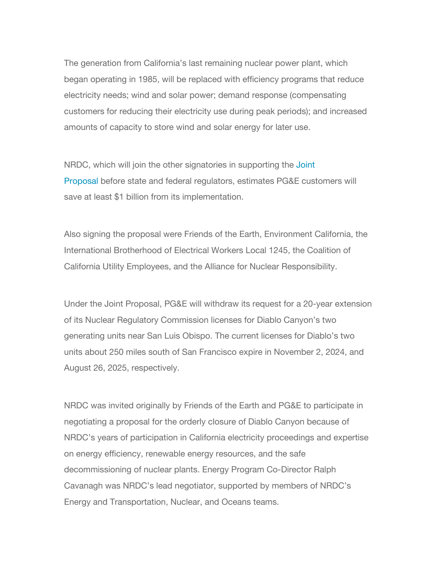The generation from California's last remaining nuclear power plant, which began operating in 1985, will be replaced with efficiency programs that reduce electricity needs; wind and solar power; demand response (compensating customers for reducing their electricity use during peak periods); and increased amounts of capacity to store wind and solar energy for later use.

NRDC, which will join the other signatories in supporting the Joint Proposal before state and federal regulators, estimates PG&E customers will save at least \$1 billion from its implementation.

Also signing the proposal were Friends of the Earth, Environment California, the International Brotherhood of Electrical Workers Local 1245, the Coalition of California Utility Employees, and the Alliance for Nuclear Responsibility.

Under the Joint Proposal, PG&E will withdraw its request for a 20-year extension of its Nuclear Regulatory Commission licenses for Diablo Canyon's two generating units near San Luis Obispo. The current licenses for Diablo's two units about 250 miles south of San Francisco expire in November 2, 2024, and August 26, 2025, respectively.

NRDC was invited originally by Friends of the Earth and PG&E to participate in negotiating a proposal for the orderly closure of Diablo Canyon because of NRDC's years of participation in California electricity proceedings and expertise on energy efficiency, renewable energy resources, and the safe decommissioning of nuclear plants. Energy Program Co-Director Ralph Cavanagh was NRDC's lead negotiator, supported by members of NRDC's Energy and Transportation, Nuclear, and Oceans teams.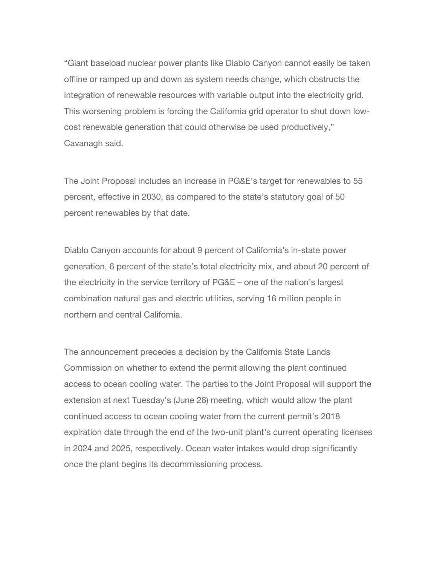"Giant baseload nuclear power plants like Diablo Canyon cannot easily be taken offline or ramped up and down as system needs change, which obstructs the integration of renewable resources with variable output into the electricity grid. This worsening problem is forcing the California grid operator to shut down lowcost renewable generation that could otherwise be used productively," Cavanagh said.

The Joint Proposal includes an increase in PG&E's target for renewables to 55 percent, effective in 2030, as compared to the state's statutory goal of 50 percent renewables by that date.

Diablo Canyon accounts for about 9 percent of California's in-state power generation, 6 percent of the state's total electricity mix, and about 20 percent of the electricity in the service territory of PG&E – one of the nation's largest combination natural gas and electric utilities, serving 16 million people in northern and central California.

The announcement precedes a decision by the California State Lands Commission on whether to extend the permit allowing the plant continued access to ocean cooling water. The parties to the Joint Proposal will support the extension at next Tuesday's (June 28) meeting, which would allow the plant continued access to ocean cooling water from the current permit's 2018 expiration date through the end of the two-unit plant's current operating licenses in 2024 and 2025, respectively. Ocean water intakes would drop significantly once the plant begins its decommissioning process.